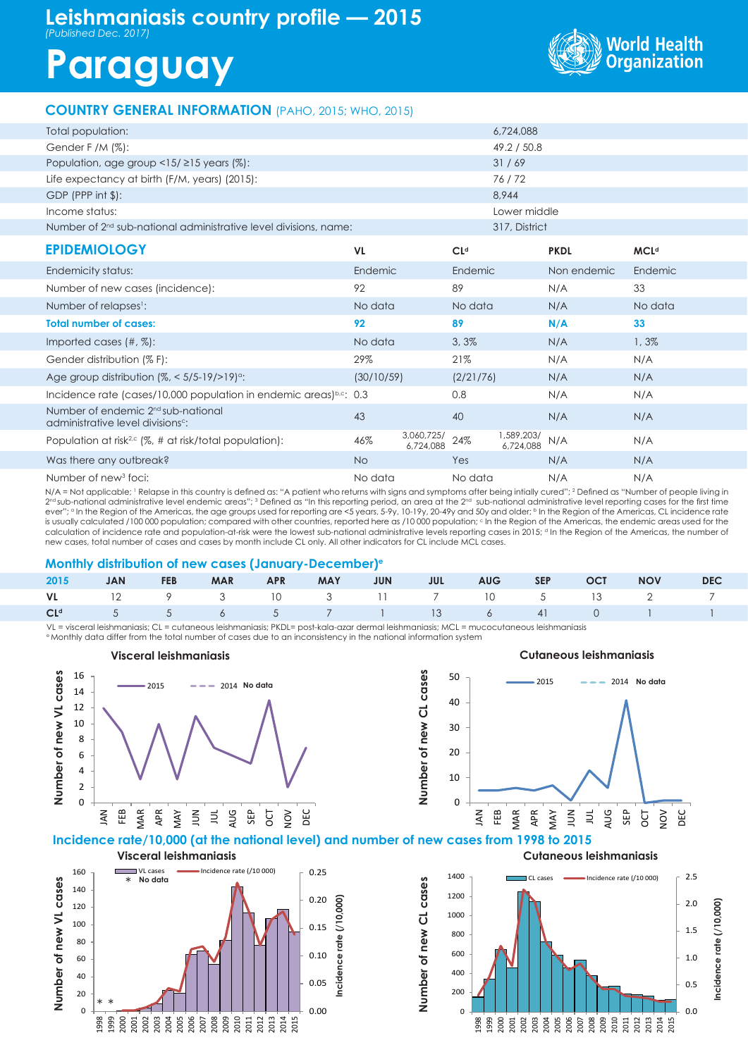## **Leishmaniasis country profile — 2015**

*(Published Dec. 2017)*

 $\overline{0}$ 20

\* \*

# **Paraguay**



### **COUNTRY GENERAL INFORMATION** (PAHO, 2015; WHO, 2015)

| Total population:                                                                               |            |                         |                 | 6,724,088               |             |             |
|-------------------------------------------------------------------------------------------------|------------|-------------------------|-----------------|-------------------------|-------------|-------------|
| Gender F /M $(\%)$ :                                                                            |            |                         |                 | 49.2 / 50.8             |             |             |
| Population, age group <15/ $\ge$ 15 years (%):                                                  |            |                         |                 | 31/69                   |             |             |
| Life expectancy at birth (F/M, years) (2015):                                                   |            |                         |                 | 76/72                   |             |             |
| GDP (PPP int \$):                                                                               |            |                         |                 | 8,944                   |             |             |
| Income status:                                                                                  |            |                         |                 | Lower middle            |             |             |
| Number of 2 <sup>nd</sup> sub-national administrative level divisions, name:                    |            |                         |                 | 317, District           |             |             |
| <b>EPIDEMIOLOGY</b>                                                                             | <b>VL</b>  |                         | CL <sub>d</sub> |                         | <b>PKDL</b> | <b>MCLd</b> |
| Endemicity status:                                                                              | Endemic    |                         | Endemic         |                         | Non endemic | Endemic     |
| Number of new cases (incidence):                                                                | 92         |                         | 89              |                         | N/A         | 33          |
| Number of relapses <sup>1</sup> :                                                               | No data    |                         | No data         |                         | N/A         | No data     |
| <b>Total number of cases:</b>                                                                   | 92         |                         | 89              |                         | N/A         | 33          |
| Imported cases $(\#$ , $\%)$ :                                                                  | No data    |                         | 3,3%            |                         | N/A         | 1,3%        |
| Gender distribution (% F):                                                                      | 29%        |                         | 21%             |                         | N/A         | N/A         |
| Age group distribution $(\%,-5/5-19/>19)$ <sup>o</sup> :                                        | (30/10/59) |                         | (2/21/76)       |                         | N/A         | N/A         |
| Incidence rate (cases/10,000 population in endemic areas)b.c: 0.3                               |            |                         | 0.8             |                         | N/A         | N/A         |
| Number of endemic 2 <sup>nd</sup> sub-national<br>administrative level divisions <sup>c</sup> : | 43         |                         | 40              |                         | N/A         | N/A         |
| Population at risk <sup>2,c</sup> (%, # at risk/total population):                              | 46%        | 3,060,725/<br>6,724,088 | 24%             | 1,589,203/<br>6,724,088 | N/A         | N/A         |
| Was there any outbreak?                                                                         | <b>No</b>  |                         | Yes             |                         | N/A         | N/A         |
| Number of new <sup>3</sup> foci:                                                                | No data    |                         | No data         |                         | N/A         | N/A         |

N/A = Not applicable; ' Relapse in this country is defined as: "A patient who returns with signs and symptoms after being intially cured"; <sup>2</sup> Defined as "Number of people living in  $2^{\rm nd}$ sub-national administrative level endemic areas"; 3 Defined as "In this reporting period, an area at the  $2^{\rm nd}$  sub-national administrative level reporting cases for the first time ever"; <sup>a</sup> In the Region of the Americas, the age groups used for reporting are <5 years, 5-9y, 10-19y, 20-49y and 50y and older; <sup>b</sup> In the Region of the Americas, CL incidence rate is usually calculated /100 000 population; compared with other countries, reported here as /10 000 population; c in the Region of the Americas, the endemic areas used for the calculation of incidence rate and population-at-risk were the lowest sub-national administrative levels reporting cases in 2015; <sup>a</sup> In the Region of the Americas, the number of new cases, total number of cases and cases by month include CL only. All other indicators for CL include MCL cases.

#### **Monthly distribution of new cases (January-December)e**

1998 1999 2000 2001 2002 2003 2004 2005 2006 2007 2008 2009 2010 2011 2012 2013 2014 2015

|  |  |  |  |  | 2015 JAN FEB MAR APR MAY JUN JUL AUG SEP OCT NOV DEC |  |
|--|--|--|--|--|------------------------------------------------------|--|
|  |  |  |  |  | VL 12 9 3 10 3 11 7 10 5 13 2 7                      |  |
|  |  |  |  |  | CL <sup>d</sup> 5 5 6 5 7 1 13 6 41 0 1 1            |  |

VL = visceral leishmaniasis; CL = cutaneous leishmaniasis; PKDL= post-kala-azar dermal leishmaniasis; MCL = mucocutaneous leishmaniasis e Monthly data differ from the total number of cases due to an inconsistency in the national information system

0.00

0.05



 $\overline{0}$ 200

1998 1999 2000 2001 2002 2003 2004 2005 2006 2007 2008 2009 2010 2011 2012 2013 2014 2015

0.0

0.5

**Incidence rate (/10,000)**

Incidence rate  $(710,000)$